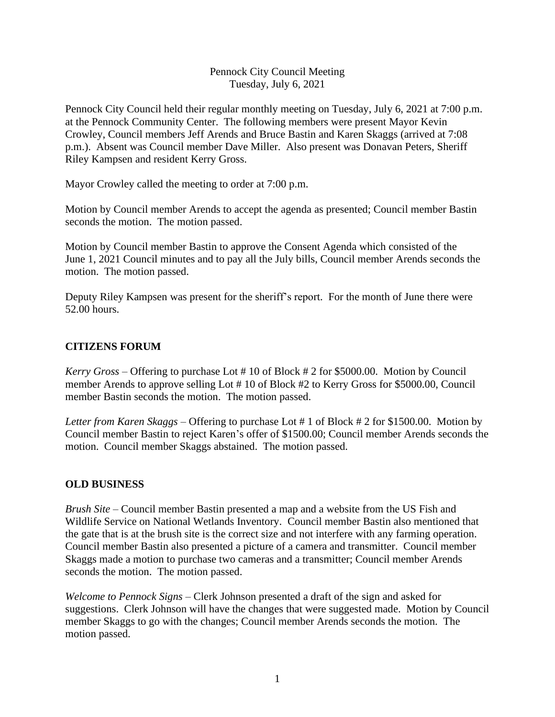#### Pennock City Council Meeting Tuesday, July 6, 2021

Pennock City Council held their regular monthly meeting on Tuesday, July 6, 2021 at 7:00 p.m. at the Pennock Community Center. The following members were present Mayor Kevin Crowley, Council members Jeff Arends and Bruce Bastin and Karen Skaggs (arrived at 7:08 p.m.). Absent was Council member Dave Miller. Also present was Donavan Peters, Sheriff Riley Kampsen and resident Kerry Gross.

Mayor Crowley called the meeting to order at 7:00 p.m.

Motion by Council member Arends to accept the agenda as presented; Council member Bastin seconds the motion. The motion passed.

Motion by Council member Bastin to approve the Consent Agenda which consisted of the June 1, 2021 Council minutes and to pay all the July bills, Council member Arends seconds the motion. The motion passed.

Deputy Riley Kampsen was present for the sheriff's report. For the month of June there were 52.00 hours.

# **CITIZENS FORUM**

*Kerry Gross* – Offering to purchase Lot # 10 of Block # 2 for \$5000.00. Motion by Council member Arends to approve selling Lot # 10 of Block #2 to Kerry Gross for \$5000.00, Council member Bastin seconds the motion. The motion passed.

*Letter from Karen Skaggs –* Offering to purchase Lot # 1 of Block # 2 for \$1500.00. Motion by Council member Bastin to reject Karen's offer of \$1500.00; Council member Arends seconds the motion. Council member Skaggs abstained. The motion passed.

## **OLD BUSINESS**

*Brush Site* – Council member Bastin presented a map and a website from the US Fish and Wildlife Service on National Wetlands Inventory. Council member Bastin also mentioned that the gate that is at the brush site is the correct size and not interfere with any farming operation. Council member Bastin also presented a picture of a camera and transmitter. Council member Skaggs made a motion to purchase two cameras and a transmitter; Council member Arends seconds the motion. The motion passed.

*Welcome to Pennock Signs* – Clerk Johnson presented a draft of the sign and asked for suggestions. Clerk Johnson will have the changes that were suggested made. Motion by Council member Skaggs to go with the changes; Council member Arends seconds the motion. The motion passed.